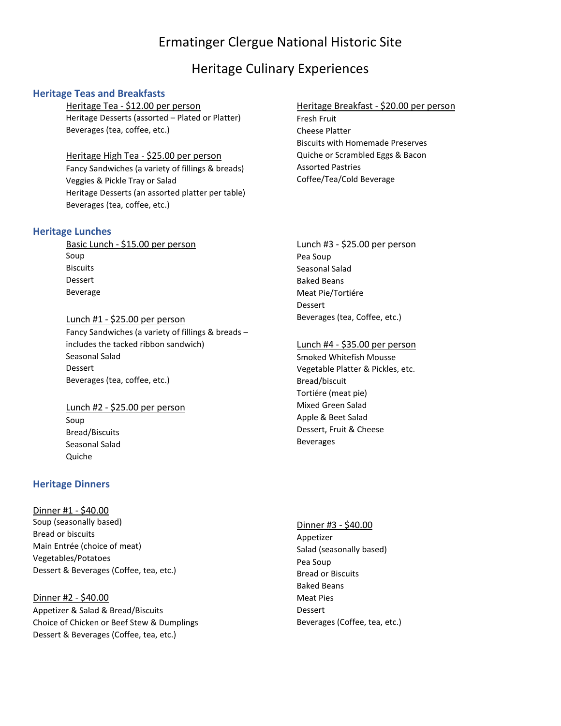# Ermatinger Clergue National Historic Site

## Heritage Culinary Experiences

## **Heritage Teas and Breakfasts**

Heritage Tea - \$12.00 per person Heritage Desserts (assorted – Plated or Platter) Beverages (tea, coffee, etc.)

#### Heritage High Tea - \$25.00 per person

Fancy Sandwiches (a variety of fillings & breads) Veggies & Pickle Tray or Salad Heritage Desserts (an assorted platter per table) Beverages (tea, coffee, etc.)

#### **Heritage Lunches**

Basic Lunch - \$15.00 per person Soup Biscuits Dessert Beverage

#### Lunch #1 - \$25.00 per person

Fancy Sandwiches (a variety of fillings & breads – includes the tacked ribbon sandwich) Seasonal Salad Dessert Beverages (tea, coffee, etc.)

## Lunch #2 - \$25.00 per person Soup Bread/Biscuits Seasonal Salad Quiche

### **Heritage Dinners**

Dinner #1 - \$40.00 Soup (seasonally based) Bread or biscuits Main Entrée (choice of meat) Vegetables/Potatoes Dessert & Beverages (Coffee, tea, etc.)

## Dinner #2 - \$40.00 Appetizer & Salad & Bread/Biscuits Choice of Chicken or Beef Stew & Dumplings Dessert & Beverages (Coffee, tea, etc.)

#### Heritage Breakfast - \$20.00 per person

Fresh Fruit Cheese Platter Biscuits with Homemade Preserves Quiche or Scrambled Eggs & Bacon Assorted Pastries Coffee/Tea/Cold Beverage

# Lunch #3 - \$25.00 per person

Pea Soup Seasonal Salad Baked Beans Meat Pie/Tortiére Dessert Beverages (tea, Coffee, etc.)

#### Lunch #4 - \$35.00 per person

Smoked Whitefish Mousse Vegetable Platter & Pickles, etc. Bread/biscuit Tortiére (meat pie) Mixed Green Salad Apple & Beet Salad Dessert, Fruit & Cheese Beverages

#### Dinner #3 - \$40.00

Appetizer Salad (seasonally based) Pea Soup Bread or Biscuits Baked Beans Meat Pies Dessert Beverages (Coffee, tea, etc.)